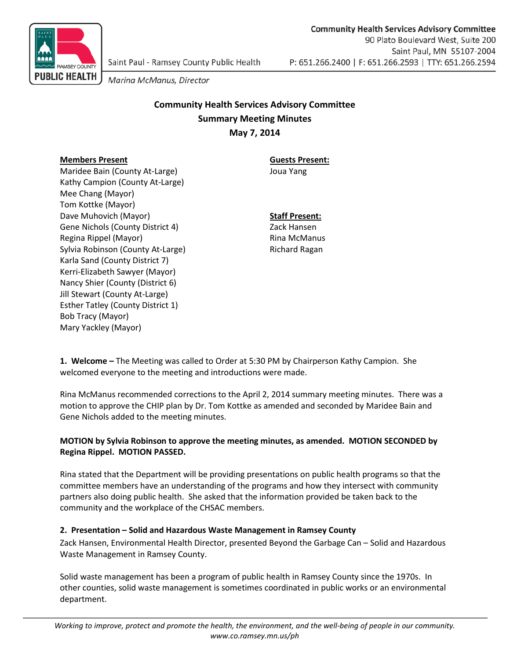

Marina McManus, Director

# **Community Health Services Advisory Committee Summary Meeting Minutes May 7, 2014**

## **Members Present Guests Present:**

Maridee Bain (County At-Large) Joua Yang Kathy Campion (County At-Large) Mee Chang (Mayor) Tom Kottke (Mayor) Dave Muhovich (Mayor) **Staff Present:** Gene Nichols (County District 4) Zack Hansen Regina Rippel (Mayor) Rina McManus Sylvia Robinson (County At-Large) Richard Ragan Karla Sand (County District 7) Kerri-Elizabeth Sawyer (Mayor) Nancy Shier (County (District 6) Jill Stewart (County At-Large) Esther Tatley (County District 1) Bob Tracy (Mayor) Mary Yackley (Mayor)

**1. Welcome –** The Meeting was called to Order at 5:30 PM by Chairperson Kathy Campion. She welcomed everyone to the meeting and introductions were made.

Rina McManus recommended corrections to the April 2, 2014 summary meeting minutes. There was a motion to approve the CHIP plan by Dr. Tom Kottke as amended and seconded by Maridee Bain and Gene Nichols added to the meeting minutes.

### **MOTION by Sylvia Robinson to approve the meeting minutes, as amended. MOTION SECONDED by Regina Rippel. MOTION PASSED.**

Rina stated that the Department will be providing presentations on public health programs so that the committee members have an understanding of the programs and how they intersect with community partners also doing public health. She asked that the information provided be taken back to the community and the workplace of the CHSAC members.

### **2. Presentation – Solid and Hazardous Waste Management in Ramsey County**

Zack Hansen, Environmental Health Director, presented Beyond the Garbage Can – Solid and Hazardous Waste Management in Ramsey County.

Solid waste management has been a program of public health in Ramsey County since the 1970s. In other counties, solid waste management is sometimes coordinated in public works or an environmental department.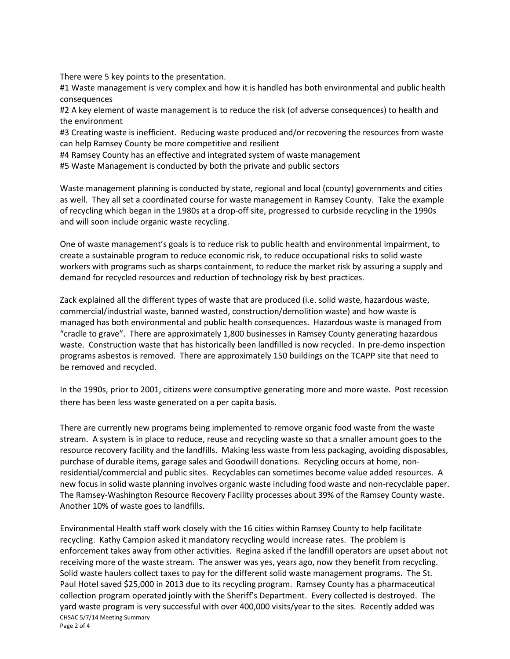There were 5 key points to the presentation.

#1 Waste management is very complex and how it is handled has both environmental and public health consequences

#2 A key element of waste management is to reduce the risk (of adverse consequences) to health and the environment

#3 Creating waste is inefficient. Reducing waste produced and/or recovering the resources from waste can help Ramsey County be more competitive and resilient

#4 Ramsey County has an effective and integrated system of waste management

#5 Waste Management is conducted by both the private and public sectors

Waste management planning is conducted by state, regional and local (county) governments and cities as well. They all set a coordinated course for waste management in Ramsey County. Take the example of recycling which began in the 1980s at a drop-off site, progressed to curbside recycling in the 1990s and will soon include organic waste recycling.

One of waste management's goals is to reduce risk to public health and environmental impairment, to create a sustainable program to reduce economic risk, to reduce occupational risks to solid waste workers with programs such as sharps containment, to reduce the market risk by assuring a supply and demand for recycled resources and reduction of technology risk by best practices.

Zack explained all the different types of waste that are produced (i.e. solid waste, hazardous waste, commercial/industrial waste, banned wasted, construction/demolition waste) and how waste is managed has both environmental and public health consequences. Hazardous waste is managed from "cradle to grave". There are approximately 1,800 businesses in Ramsey County generating hazardous waste. Construction waste that has historically been landfilled is now recycled. In pre-demo inspection programs asbestos is removed. There are approximately 150 buildings on the TCAPP site that need to be removed and recycled.

In the 1990s, prior to 2001, citizens were consumptive generating more and more waste. Post recession there has been less waste generated on a per capita basis.

There are currently new programs being implemented to remove organic food waste from the waste stream. A system is in place to reduce, reuse and recycling waste so that a smaller amount goes to the resource recovery facility and the landfills. Making less waste from less packaging, avoiding disposables, purchase of durable items, garage sales and Goodwill donations. Recycling occurs at home, nonresidential/commercial and public sites. Recyclables can sometimes become value added resources. A new focus in solid waste planning involves organic waste including food waste and non-recyclable paper. The Ramsey-Washington Resource Recovery Facility processes about 39% of the Ramsey County waste. Another 10% of waste goes to landfills.

CHSAC 5/7/14 Meeting Summary Page 2 of 4 Environmental Health staff work closely with the 16 cities within Ramsey County to help facilitate recycling. Kathy Campion asked it mandatory recycling would increase rates. The problem is enforcement takes away from other activities. Regina asked if the landfill operators are upset about not receiving more of the waste stream. The answer was yes, years ago, now they benefit from recycling. Solid waste haulers collect taxes to pay for the different solid waste management programs. The St. Paul Hotel saved \$25,000 in 2013 due to its recycling program. Ramsey County has a pharmaceutical collection program operated jointly with the Sheriff's Department. Every collected is destroyed. The yard waste program is very successful with over 400,000 visits/year to the sites. Recently added was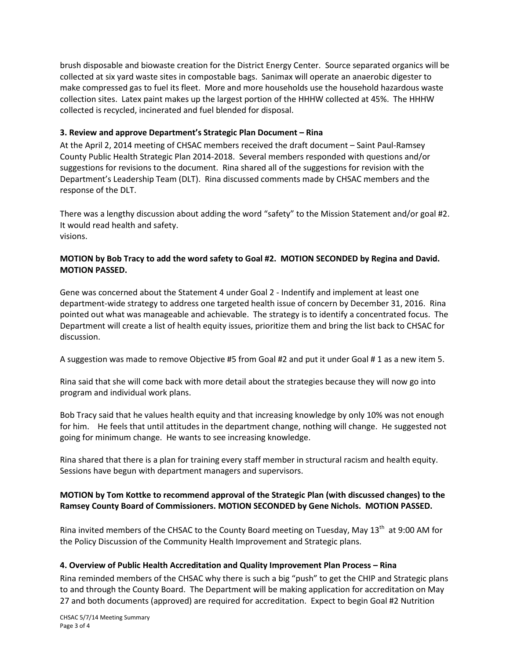brush disposable and biowaste creation for the District Energy Center. Source separated organics will be collected at six yard waste sites in compostable bags. Sanimax will operate an anaerobic digester to make compressed gas to fuel its fleet. More and more households use the household hazardous waste collection sites. Latex paint makes up the largest portion of the HHHW collected at 45%. The HHHW collected is recycled, incinerated and fuel blended for disposal.

#### **3. Review and approve Department's Strategic Plan Document – Rina**

At the April 2, 2014 meeting of CHSAC members received the draft document – Saint Paul-Ramsey County Public Health Strategic Plan 2014-2018. Several members responded with questions and/or suggestions for revisions to the document. Rina shared all of the suggestions for revision with the Department's Leadership Team (DLT). Rina discussed comments made by CHSAC members and the response of the DLT.

There was a lengthy discussion about adding the word "safety" to the Mission Statement and/or goal #2. It would read health and safety. visions.

### **MOTION by Bob Tracy to add the word safety to Goal #2. MOTION SECONDED by Regina and David. MOTION PASSED.**

Gene was concerned about the Statement 4 under Goal 2 - Indentify and implement at least one department-wide strategy to address one targeted health issue of concern by December 31, 2016. Rina pointed out what was manageable and achievable. The strategy is to identify a concentrated focus. The Department will create a list of health equity issues, prioritize them and bring the list back to CHSAC for discussion.

A suggestion was made to remove Objective #5 from Goal #2 and put it under Goal # 1 as a new item 5.

Rina said that she will come back with more detail about the strategies because they will now go into program and individual work plans.

Bob Tracy said that he values health equity and that increasing knowledge by only 10% was not enough for him. He feels that until attitudes in the department change, nothing will change. He suggested not going for minimum change. He wants to see increasing knowledge.

Rina shared that there is a plan for training every staff member in structural racism and health equity. Sessions have begun with department managers and supervisors.

### **MOTION by Tom Kottke to recommend approval of the Strategic Plan (with discussed changes) to the Ramsey County Board of Commissioners. MOTION SECONDED by Gene Nichols. MOTION PASSED.**

Rina invited members of the CHSAC to the County Board meeting on Tuesday, May 13<sup>th</sup> at 9:00 AM for the Policy Discussion of the Community Health Improvement and Strategic plans.

### **4. Overview of Public Health Accreditation and Quality Improvement Plan Process – Rina**

Rina reminded members of the CHSAC why there is such a big "push" to get the CHIP and Strategic plans to and through the County Board. The Department will be making application for accreditation on May 27 and both documents (approved) are required for accreditation. Expect to begin Goal #2 Nutrition